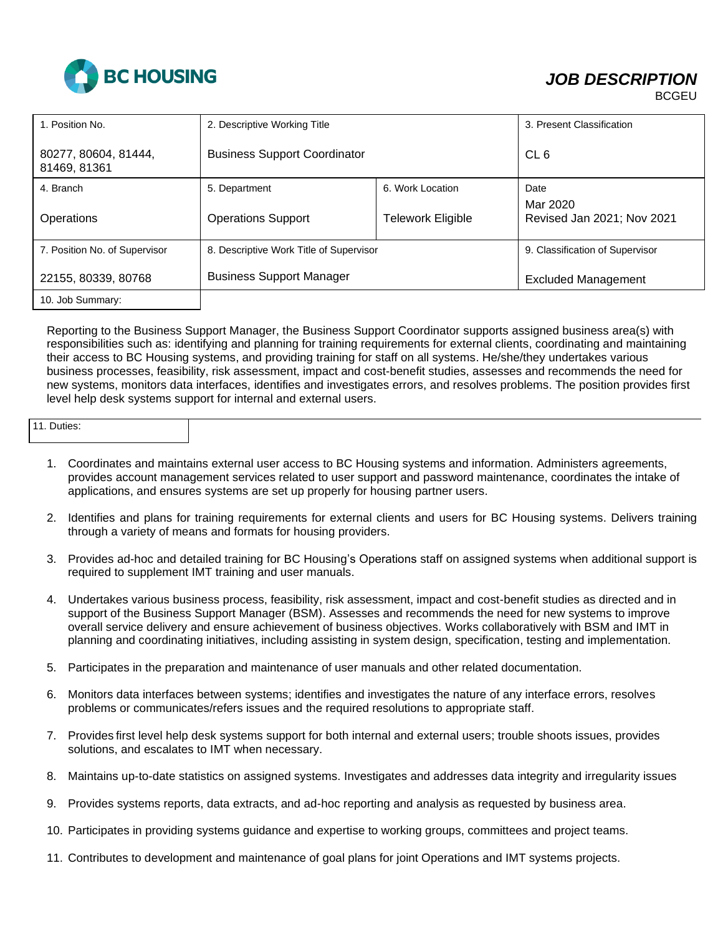

## *JOB DESCRIPTION*

| 1. Position No.                      | 2. Descriptive Working Title            |                          | 3. Present Classification              |
|--------------------------------------|-----------------------------------------|--------------------------|----------------------------------------|
| 80277, 80604, 81444,<br>81469, 81361 | <b>Business Support Coordinator</b>     |                          | CL <sub>6</sub>                        |
| 4. Branch                            | 5. Department                           | 6. Work Location         | Date                                   |
| Operations                           | <b>Operations Support</b>               | <b>Telework Eligible</b> | Mar 2020<br>Revised Jan 2021; Nov 2021 |
| 7. Position No. of Supervisor        | 8. Descriptive Work Title of Supervisor |                          | 9. Classification of Supervisor        |
| 22155, 80339, 80768                  | <b>Business Support Manager</b>         |                          | <b>Excluded Management</b>             |
| 10. Job Summary:                     |                                         |                          |                                        |

Reporting to the Business Support Manager, the Business Support Coordinator supports assigned business area(s) with responsibilities such as: identifying and planning for training requirements for external clients, coordinating and maintaining their access to BC Housing systems, and providing training for staff on all systems. He/she/they undertakes various business processes, feasibility, risk assessment, impact and cost-benefit studies, assesses and recommends the need for new systems, monitors data interfaces, identifies and investigates errors, and resolves problems. The position provides first level help desk systems support for internal and external users.

| 11. Duties: |
|-------------|
|-------------|

- 1. Coordinates and maintains external user access to BC Housing systems and information. Administers agreements, provides account management services related to user support and password maintenance, coordinates the intake of applications, and ensures systems are set up properly for housing partner users.
- 2. Identifies and plans for training requirements for external clients and users for BC Housing systems. Delivers training through a variety of means and formats for housing providers.
- 3. Provides ad-hoc and detailed training for BC Housing's Operations staff on assigned systems when additional support is required to supplement IMT training and user manuals.
- 4. Undertakes various business process, feasibility, risk assessment, impact and cost-benefit studies as directed and in support of the Business Support Manager (BSM). Assesses and recommends the need for new systems to improve overall service delivery and ensure achievement of business objectives. Works collaboratively with BSM and IMT in planning and coordinating initiatives, including assisting in system design, specification, testing and implementation.
- 5. Participates in the preparation and maintenance of user manuals and other related documentation.
- 6. Monitors data interfaces between systems; identifies and investigates the nature of any interface errors, resolves problems or communicates/refers issues and the required resolutions to appropriate staff.
- 7. Provides first level help desk systems support for both internal and external users; trouble shoots issues, provides solutions, and escalates to IMT when necessary.
- 8. Maintains up-to-date statistics on assigned systems. Investigates and addresses data integrity and irregularity issues
- 9. Provides systems reports, data extracts, and ad-hoc reporting and analysis as requested by business area.
- 10. Participates in providing systems guidance and expertise to working groups, committees and project teams.
- 11. Contributes to development and maintenance of goal plans for joint Operations and IMT systems projects.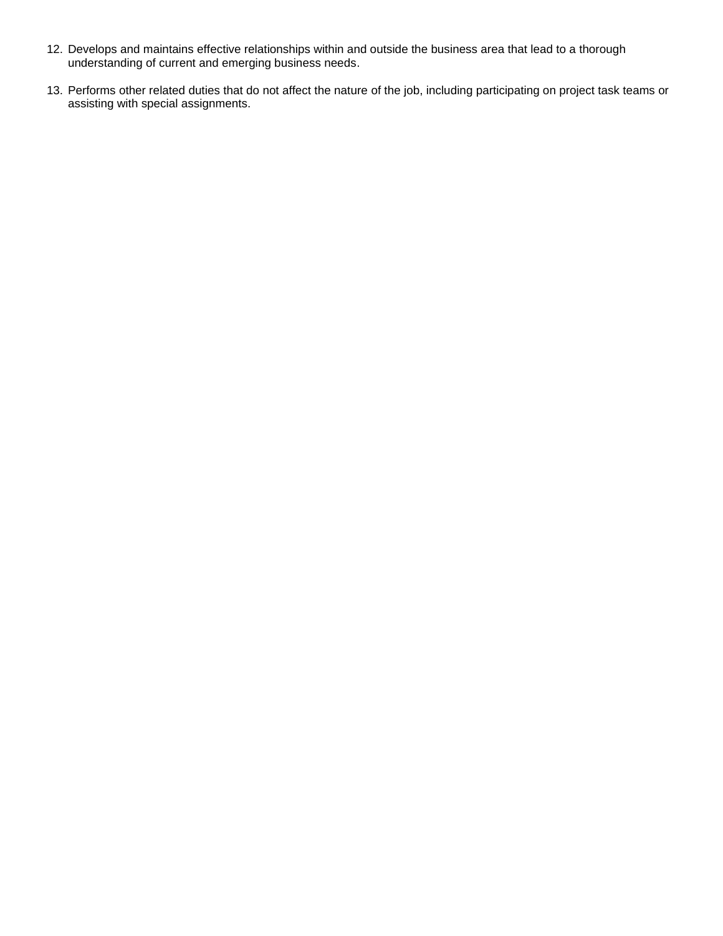- 12. Develops and maintains effective relationships within and outside the business area that lead to a thorough understanding of current and emerging business needs.
- 13. Performs other related duties that do not affect the nature of the job, including participating on project task teams or assisting with special assignments.